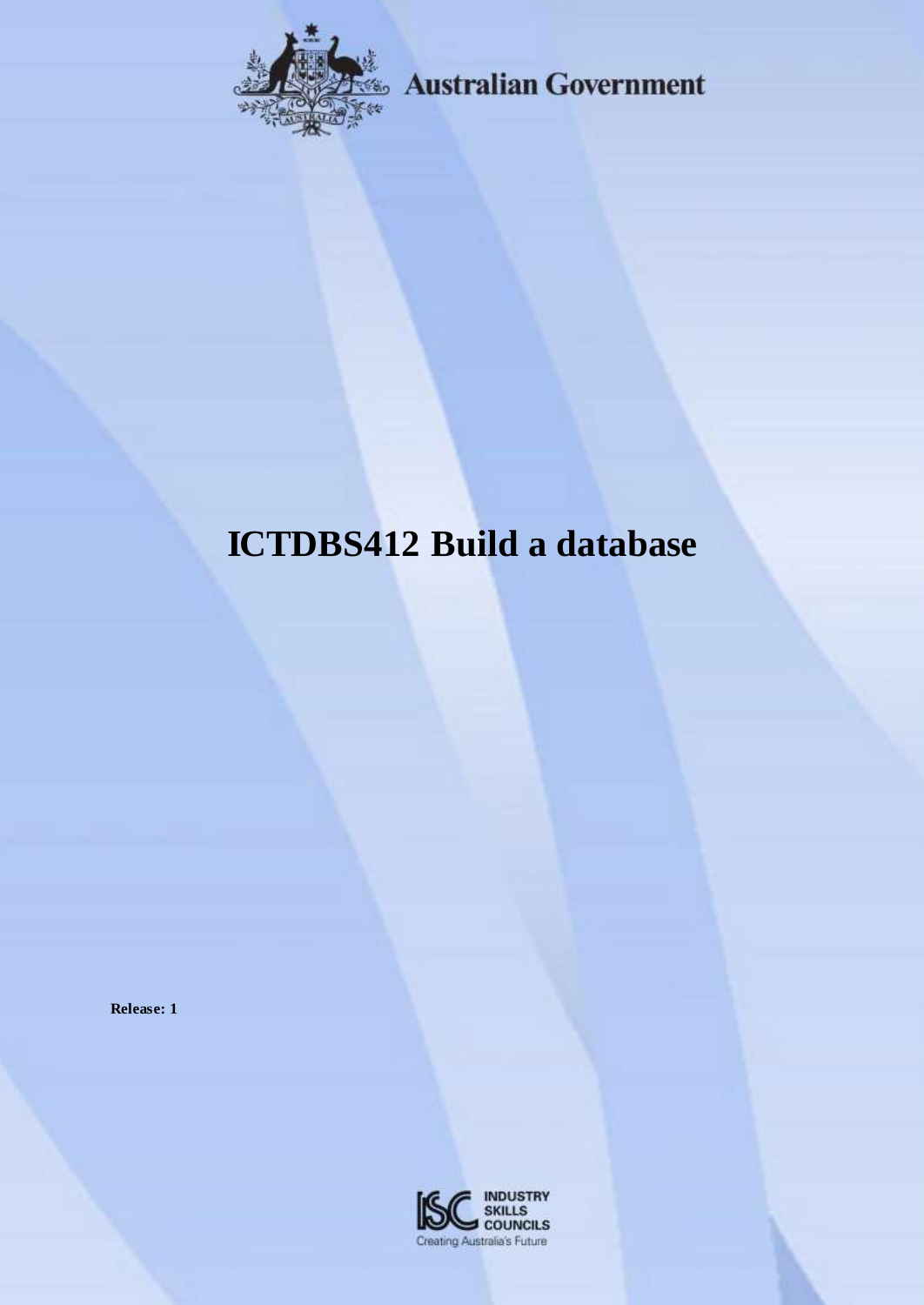

**Example 3 Australian Government** 

# **ICTDBS412 Build a database**

**Release: 1**

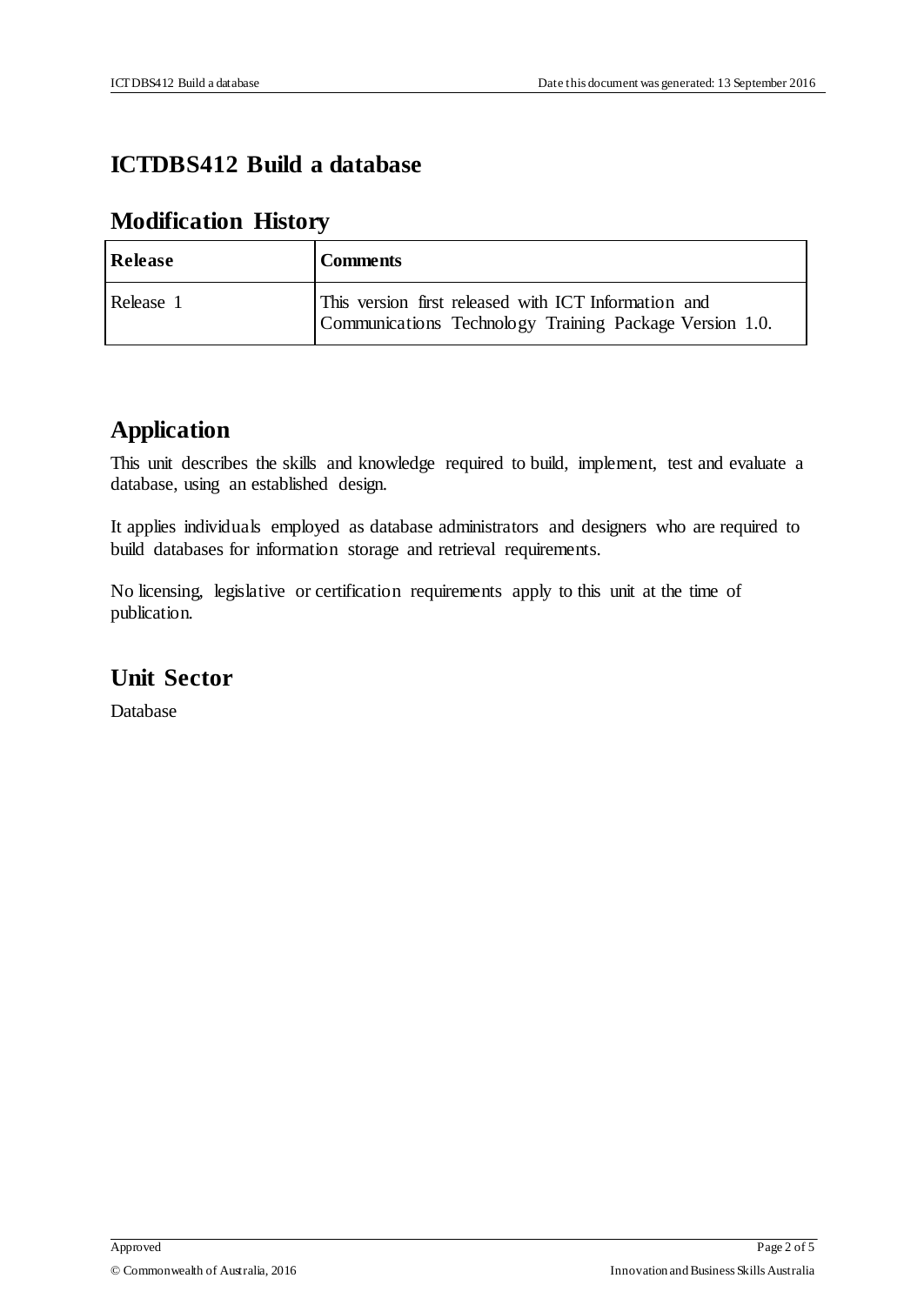### **ICTDBS412 Build a database**

## **Modification History**

| Release   | <b>Comments</b>                                                                                                 |
|-----------|-----------------------------------------------------------------------------------------------------------------|
| Release 1 | This version first released with ICT Information and<br>Communications Technology Training Package Version 1.0. |

#### **Application**

This unit describes the skills and knowledge required to build, implement, test and evaluate a database, using an established design.

It applies individuals employed as database administrators and designers who are required to build databases for information storage and retrieval requirements.

No licensing, legislative or certification requirements apply to this unit at the time of publication.

## **Unit Sector**

Database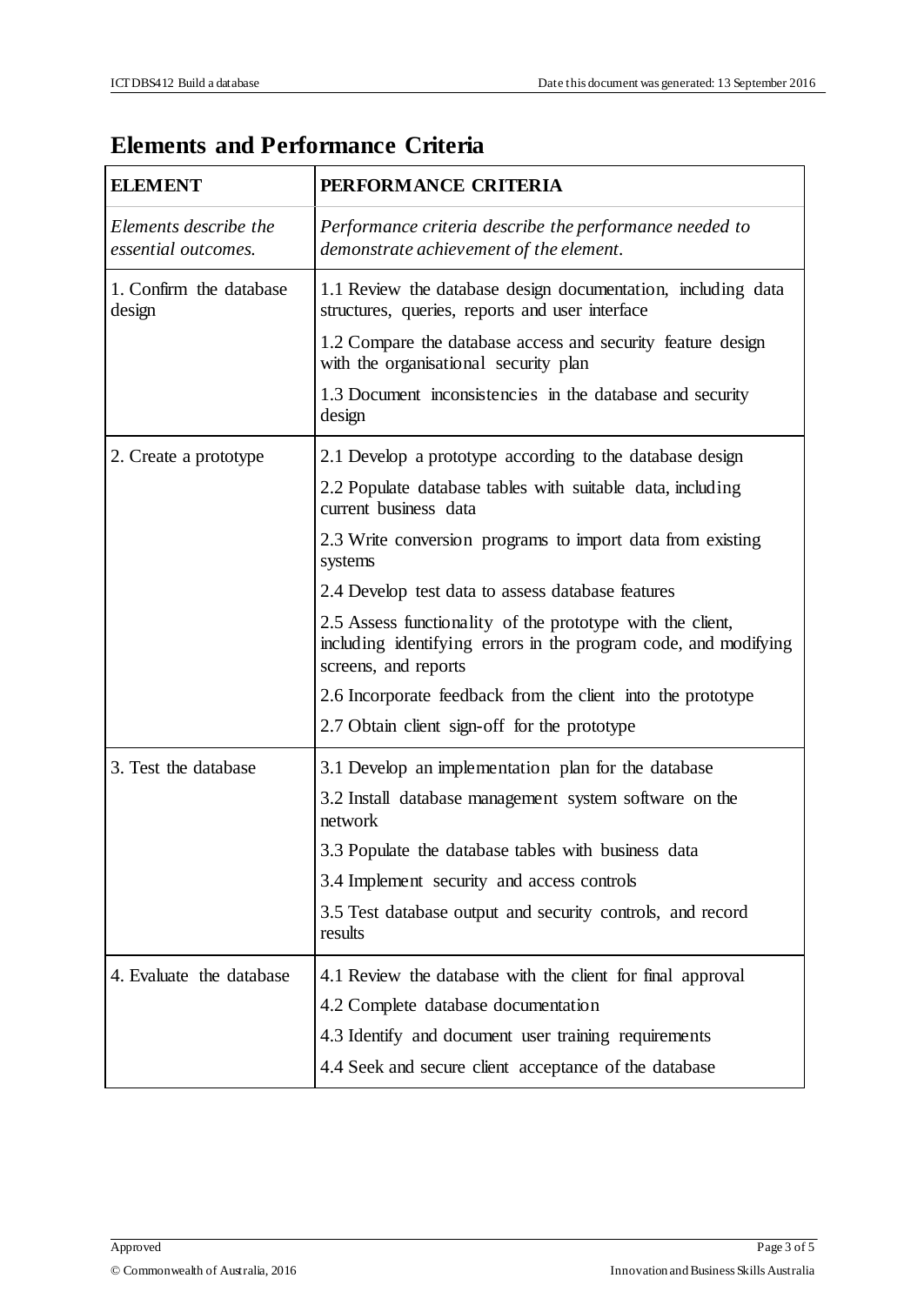# **Elements and Performance Criteria**

| <b>ELEMENT</b>                               | PERFORMANCE CRITERIA                                                                                                                                  |  |  |
|----------------------------------------------|-------------------------------------------------------------------------------------------------------------------------------------------------------|--|--|
| Elements describe the<br>essential outcomes. | Performance criteria describe the performance needed to<br>demonstrate achievement of the element.                                                    |  |  |
| 1. Confirm the database<br>design            | 1.1 Review the database design documentation, including data<br>structures, queries, reports and user interface                                       |  |  |
|                                              | 1.2 Compare the database access and security feature design<br>with the organisational security plan                                                  |  |  |
|                                              | 1.3 Document inconsistencies in the database and security<br>design                                                                                   |  |  |
| 2. Create a prototype                        | 2.1 Develop a prototype according to the database design                                                                                              |  |  |
|                                              | 2.2 Populate database tables with suitable data, including<br>current business data                                                                   |  |  |
|                                              | 2.3 Write conversion programs to import data from existing<br>systems                                                                                 |  |  |
|                                              | 2.4 Develop test data to assess database features                                                                                                     |  |  |
|                                              | 2.5 Assess functionality of the prototype with the client,<br>including identifying errors in the program code, and modifying<br>screens, and reports |  |  |
|                                              | 2.6 Incorporate feedback from the client into the prototype                                                                                           |  |  |
|                                              | 2.7 Obtain client sign-off for the prototype                                                                                                          |  |  |
| 3. Test the database                         | 3.1 Develop an implementation plan for the database                                                                                                   |  |  |
|                                              | 3.2 Install database management system software on the<br>network                                                                                     |  |  |
|                                              | 3.3 Populate the database tables with business data                                                                                                   |  |  |
|                                              | 3.4 Implement security and access controls                                                                                                            |  |  |
|                                              | 3.5 Test database output and security controls, and record<br>results                                                                                 |  |  |
| 4. Evaluate the database                     | 4.1 Review the database with the client for final approval                                                                                            |  |  |
|                                              | 4.2 Complete database documentation                                                                                                                   |  |  |
|                                              | 4.3 Identify and document user training requirements                                                                                                  |  |  |
|                                              | 4.4 Seek and secure client acceptance of the database                                                                                                 |  |  |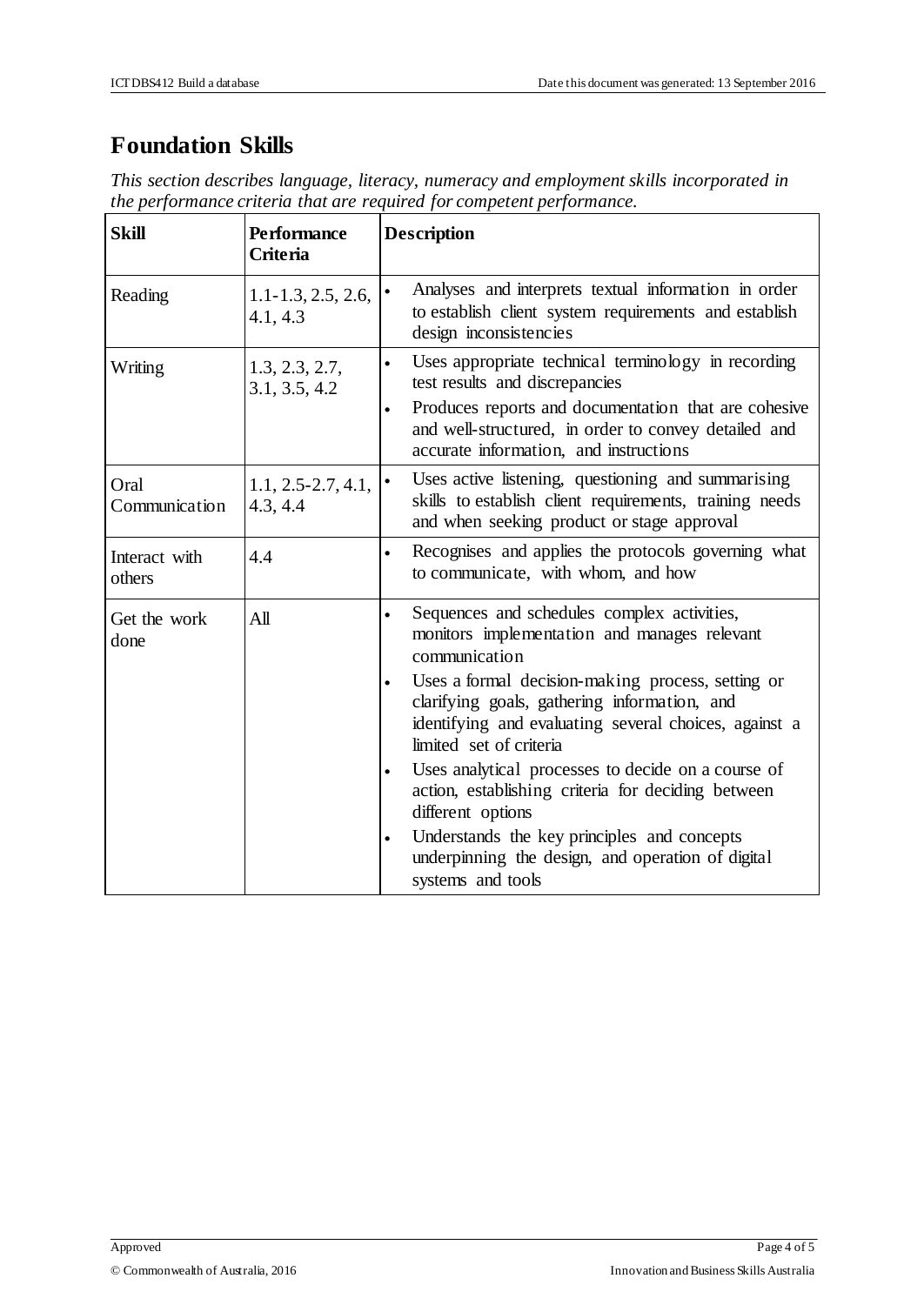## **Foundation Skills**

*This section describes language, literacy, numeracy and employment skills incorporated in the performance criteria that are required for competent performance.*

| <b>Skill</b>            | <b>Performance</b><br><b>Criteria</b> | <b>Description</b>                                                                                                                                                                                                                                                                                                                                                                                                                                                                                                                                                                                     |  |
|-------------------------|---------------------------------------|--------------------------------------------------------------------------------------------------------------------------------------------------------------------------------------------------------------------------------------------------------------------------------------------------------------------------------------------------------------------------------------------------------------------------------------------------------------------------------------------------------------------------------------------------------------------------------------------------------|--|
| Reading                 | $1.1 - 1.3, 2.5, 2.6,$<br>4.1, 4.3    | Analyses and interprets textual information in order<br>$\bullet$<br>to establish client system requirements and establish<br>design inconsistencies                                                                                                                                                                                                                                                                                                                                                                                                                                                   |  |
| Writing                 | 1.3, 2.3, 2.7,<br>3.1, 3.5, 4.2       | Uses appropriate technical terminology in recording<br>$\bullet$<br>test results and discrepancies<br>Produces reports and documentation that are cohesive<br>$\bullet$<br>and well-structured, in order to convey detailed and<br>accurate information, and instructions                                                                                                                                                                                                                                                                                                                              |  |
| Oral<br>Communication   | $1.1, 2.5 - 2.7, 4.1,$<br>4.3, 4.4    | Uses active listening, questioning and summarising<br>skills to establish client requirements, training needs<br>and when seeking product or stage approval                                                                                                                                                                                                                                                                                                                                                                                                                                            |  |
| Interact with<br>others | 4.4                                   | Recognises and applies the protocols governing what<br>to communicate, with whom, and how                                                                                                                                                                                                                                                                                                                                                                                                                                                                                                              |  |
| Get the work<br>done    | All                                   | Sequences and schedules complex activities,<br>$\bullet$<br>monitors implementation and manages relevant<br>communication<br>Uses a formal decision-making process, setting or<br>$\bullet$<br>clarifying goals, gathering information, and<br>identifying and evaluating several choices, against a<br>limited set of criteria<br>Uses analytical processes to decide on a course of<br>action, establishing criteria for deciding between<br>different options<br>Understands the key principles and concepts<br>$\bullet$<br>underpinning the design, and operation of digital<br>systems and tools |  |